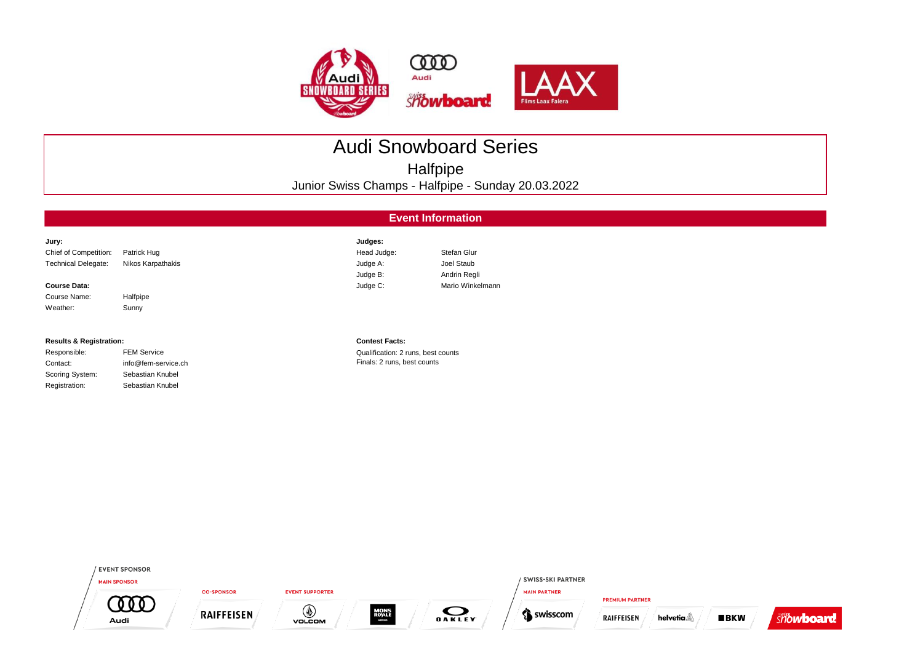

## Audi Snowboard Series

Halfpipe

Junior Swiss Champs - Halfpipe - Sunday 20.03.2022

|                                    | <b>Event Information</b> |                                    |                  |  |  |  |  |  |  |  |  |
|------------------------------------|--------------------------|------------------------------------|------------------|--|--|--|--|--|--|--|--|
| Jury:                              |                          | Judges:                            |                  |  |  |  |  |  |  |  |  |
| Chief of Competition:              | Patrick Hug              | Head Judge:                        | Stefan Glur      |  |  |  |  |  |  |  |  |
| <b>Technical Delegate:</b>         | Nikos Karpathakis        | Judge A:                           | Joel Staub       |  |  |  |  |  |  |  |  |
|                                    |                          | Judge B:                           | Andrin Regli     |  |  |  |  |  |  |  |  |
| <b>Course Data:</b>                |                          | Judge C:                           | Mario Winkelmann |  |  |  |  |  |  |  |  |
| Course Name:                       | Halfpipe                 |                                    |                  |  |  |  |  |  |  |  |  |
| Weather:                           | Sunny                    |                                    |                  |  |  |  |  |  |  |  |  |
| <b>Results &amp; Registration:</b> |                          | <b>Contest Facts:</b>              |                  |  |  |  |  |  |  |  |  |
| Responsible:                       | <b>FEM Service</b>       | Qualification: 2 runs, best counts |                  |  |  |  |  |  |  |  |  |

| nesponsible.    | <b>I LIVI JUIVILU</b> |
|-----------------|-----------------------|
| Contact:        | info@fem-service      |
| Scoring System: | Sebastian Knubel      |
| Registration:   | Sebastian Knubel      |

Qualification: 2 runs, best counts Service.ch **Finals: 2 runs, best counts** 

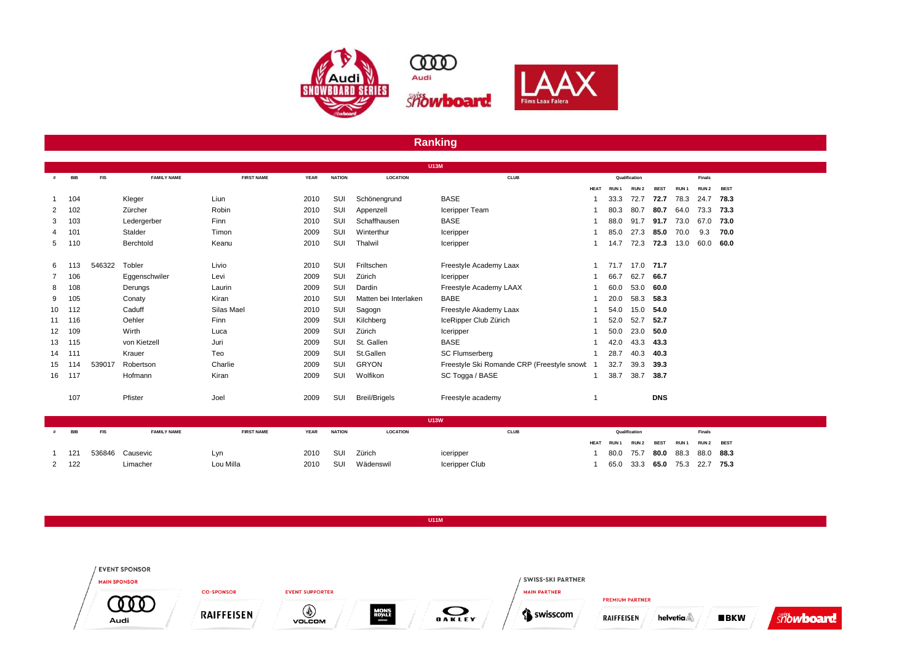

## **Ranking**

|                 |            |            |                    |                   |             |               | <b>U13M</b>           |                                            |             |                  |                  |             |                  |                  |             |  |
|-----------------|------------|------------|--------------------|-------------------|-------------|---------------|-----------------------|--------------------------------------------|-------------|------------------|------------------|-------------|------------------|------------------|-------------|--|
|                 | <b>BIB</b> | <b>FIS</b> | <b>FAMILY NAME</b> | <b>FIRST NAME</b> | <b>YEAR</b> | <b>NATION</b> | <b>LOCATION</b>       | <b>CLUB</b>                                |             |                  | Qualification    |             |                  | <b>Finals</b>    |             |  |
|                 |            |            |                    |                   |             |               |                       |                                            | <b>HEAT</b> | RUN <sub>1</sub> | RUN <sub>2</sub> | <b>BEST</b> | RUN <sub>1</sub> | RUN <sub>2</sub> | <b>BEST</b> |  |
|                 | 104        |            | Kleger             | Liun              | 2010        | SUI           | Schönengrund          | <b>BASE</b>                                |             | 33.3             | 72.7             | 72.7        | 78.3             | 24.7             | 78.3        |  |
| $\mathbf{2}$    | 102        |            | Zürcher            | Robin             | 2010        | SUI           | Appenzell             | Iceripper Team                             |             | 80.3             | 80.7             | 80.7        | 64.0             | 73.3             | 73.3        |  |
| 3               | 103        |            | Ledergerber        | Finn              | 2010        | SUI           | Schaffhausen          | <b>BASE</b>                                |             | 88.0             | 91.7             | 91.7        | 73.0             | 67.0             | 73.0        |  |
|                 | 101        |            | Stalder            | Timon             | 2009        | SUI           | Winterthur            | Iceripper                                  |             | 85.0             | 27.3             | 85.0        | 70.0             | 9.3              | 70.0        |  |
| 5               | 110        |            | Berchtold          | Keanu             | 2010        | SUI           | Thalwil               | Iceripper                                  |             | 14.7             | 72.3             | 72.3        | 13.0             | 60.0             | 60.0        |  |
|                 |            |            |                    |                   |             |               |                       |                                            |             |                  |                  |             |                  |                  |             |  |
| 6               |            | 546322     | Tobler             | Livio             | 2010        | SUI           | Friltschen            | Freestyle Academy Laax                     |             | 71.7             | 17.0 71.7        |             |                  |                  |             |  |
| $7^{\circ}$     | 106        |            | Eggenschwiler      | Levi              | 2009        | SUI           | Zürich                | Iceripper                                  |             | 66.7             | 62.7             | 66.7        |                  |                  |             |  |
| 8               | 108        |            | Derungs            | Laurin            | 2009        | SUI           | Dardin                | Freestyle Academy LAAX                     |             | 60.0             | 53.0             | 60.0        |                  |                  |             |  |
| 9               | 105        |            | Conaty             | Kiran             | 2010        | SUI           | Matten bei Interlaken | BABE                                       |             | 20.0             | 58.3             | 58.3        |                  |                  |             |  |
| 10              | 112        |            | Caduff             | Silas Mael        | 2010        | SUI           | Sagogn                | Freestyle Akademy Laax                     |             | 54.0             | 15.0             | 54.0        |                  |                  |             |  |
| 11              | 116        |            | Oehler             | Finn              | 2009        | SUI           | Kilchberg             | IceRipper Club Zürich                      |             | 52.0             | 52.7             | 52.7        |                  |                  |             |  |
| 12 <sup>2</sup> | 109        |            | Wirth              | Luca              | 2009        | SUI           | Zürich                | Iceripper                                  |             | 50.0             | 23.0             | 50.0        |                  |                  |             |  |
| 13              | 115        |            | von Kietzell       | Juri              | 2009        | SUI           | St. Gallen            | <b>BASE</b>                                |             | 42.0             | 43.3             | 43.3        |                  |                  |             |  |
| 14              | 111        |            | Krauer             | Teo               | 2009        | SUI           | St.Gallen             | <b>SC Flumserberg</b>                      |             | 28.7             | 40.3             | 40.3        |                  |                  |             |  |
| 15              | 114        | 539017     | Robertson          | Charlie           | 2009        | SUI           | <b>GRYON</b>          | Freestyle Ski Romande CRP (Freestyle snowt |             | 32.7             | 39.3             | 39.3        |                  |                  |             |  |
| 16              | 117        |            | Hofmann            | Kiran             | 2009        | SUI           | Wolfikon              | SC Togga / BASE                            |             | 38.7             | 38.7             | 38.7        |                  |                  |             |  |
|                 |            |            |                    |                   |             |               |                       |                                            |             |                  |                  |             |                  |                  |             |  |
|                 | 107        |            | Pfister            | Joel              | 2009        | SUI           | <b>Breil/Brigels</b>  | Freestyle academy                          |             |                  |                  | <b>DNS</b>  |                  |                  |             |  |
|                 |            |            |                    |                   |             |               |                       |                                            |             |                  |                  |             |                  |                  |             |  |

| <b>U13W</b> |            |                    |                   |             |               |                 |                |  |  |               |  |                                    |               |  |
|-------------|------------|--------------------|-------------------|-------------|---------------|-----------------|----------------|--|--|---------------|--|------------------------------------|---------------|--|
| BIB         | <b>FIS</b> | <b>FAMILY NAME</b> | <b>FIRST NAME</b> | <b>YEAR</b> | <b>NATION</b> | <b>LOCATION</b> | <b>CLUB</b>    |  |  | Qualification |  |                                    | <b>Finals</b> |  |
|             |            |                    |                   |             |               |                 |                |  |  |               |  | HEAT RUN1 RUN2 BEST RUN1 RUN2 BEST |               |  |
| 121         |            | 536846 Causevic    | Lvn               | 2010 SUI    |               | Zürich          | iceripper      |  |  |               |  | 80.0 75.7 80.0 88.3 88.0 88.3      |               |  |
| $2 \t 122$  |            | Limacher           | Lou Milla         | 2010        | sui           | Wädenswil       | Iceripper Club |  |  |               |  | 65.0 33.3 65.0 75.3 22.7 75.3      |               |  |
|             |            |                    |                   |             |               |                 |                |  |  |               |  |                                    |               |  |

**U11M**